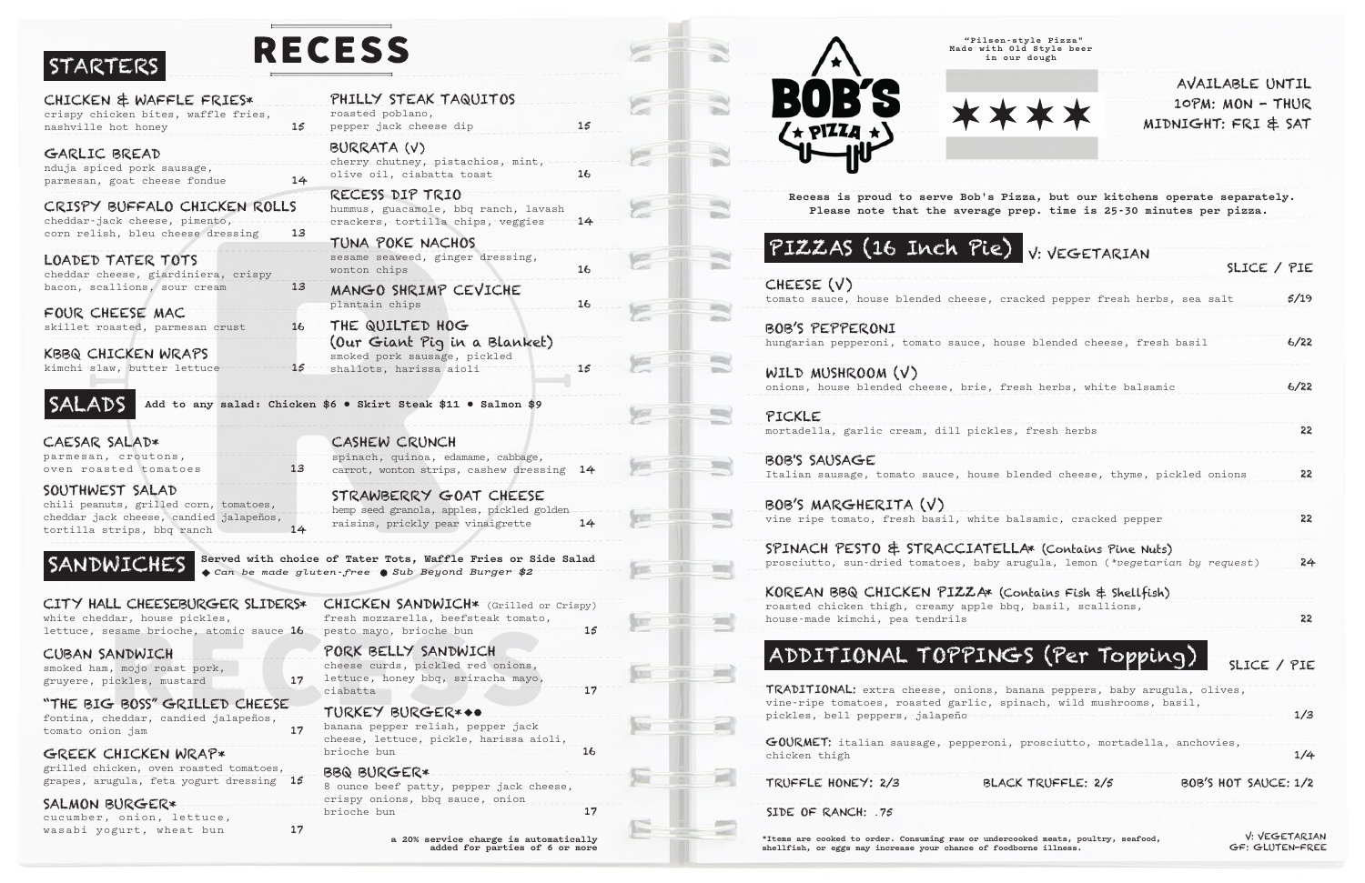# STA

GREEK CHICKEN WRAP\*

grilled chicken, oven roasted tomatoes, grapes, arugula, feta yogurt dressing 15

wasabi yogurt, wheat bun 17

SALMON BURGER\*

cucumber, onion, lettuce,

CHEESE (V) tomato sauce, house blended cheese, c

BOB'S PEPPERONI hungarian pepperoni, tomato sauce, ho

WILD MUSHROOM (V) onions, house blended cheese, brie, f

PICKLE mortadella, garlic cream, dill pickle

BOB'S SAUSAGE Italian sausage, tomato sauce, house

BOB'S MARGHERITA (V) vine ripe tomato, fresh basil, white

SPINACH PESTO & STRACCIATE prosciutto, sun-dried tomatoes, baby

KOREAN BBQ CHICKEN PIZZA\* ( roasted chicken thigh, creamy apple b house-made kimchi, pea tendrils

# ADDITIONAL TOPPIN

TRADITIONAL: extra cheese, onions, vine-ripe tomatoes, roasted garlic, s pickles, bell peppers, jalapeño

GOURMET: italian sausage, pepperoni chicken thigh

TRUFFLE HONEY: 2/3 BLA

**\*Items are cooked to order. Consuming raw or undercooked meats, poultry, seafood, shellfish, or eggs may increase your chance of foodborne illness.**

| STARTERS                                                              |                 | RECESS                                                                                                        |    |
|-----------------------------------------------------------------------|-----------------|---------------------------------------------------------------------------------------------------------------|----|
| CHICKEN & WAFFLE FRIES*                                               |                 | PHILLY STEAK TAQUITOS                                                                                         |    |
| crispy chicken bites, waffle fries,<br>nashville hot honey            | 15              | roasted poblano,<br>pepper jack cheese dip                                                                    | 15 |
| GARLIC BREAD                                                          |                 | BURRATA (V)                                                                                                   |    |
| nduja spiced pork sausage,<br>parmesan, goat cheese fondue            | 14              | cherry chutney, pistachios, mint,<br>olive oil, ciabatta toast                                                | 16 |
| CRISPY BUFFALO CHICKEN ROLLS<br>cheddar-jack cheese, pimento,         |                 | RECESS DIP TRIO<br>hummus, guacamole, bbq ranch, lavash<br>crackers, tortilla chips, veggies                  | 14 |
| corn relish, bleu cheese dressing                                     | 13              | TUNA POKE NACHOS                                                                                              |    |
| LOADED TATER TOTS<br>cheddar cheese, giardiniera, crispy              |                 | sesame seaweed, ginger dressing,<br>wonton chips                                                              | 16 |
| bacon, scallions, sour cream                                          | $13 \,$         | MANGO SHRIMP CEVICHE<br>plantain chips                                                                        | 16 |
| FOUR CHEESE MAC                                                       |                 |                                                                                                               |    |
| skillet roasted, parmesan crust                                       | 16              | THE QUILTED HOG<br>(Our Giant Pig in a Blanket)                                                               |    |
| KBBQ CHICKEN WRAPS                                                    |                 | smoked pork sausage, pickled                                                                                  |    |
| kimchi slaw, butter lettuce                                           | 15 <sup>°</sup> | shallots, harissa aioli                                                                                       | 15 |
| SALADS                                                                |                 | Add to any salad: Chicken \$6 . Skirt Steak \$11 . Salmon \$9                                                 |    |
| CAESAR SALAD*                                                         |                 | CASHEW CRUNCH                                                                                                 |    |
| parmesan, croutons,<br>oven roasted tomatoes                          | 13              | spinach, quinoa, edamame, cabbage,<br>carrot, wonton strips, cashew dressing                                  | 14 |
| SOUTHWEST SALAD<br>chili peanuts, grilled corn, tomatoes,             |                 | STRAWBERRY GOAT CHEESE<br>hemp seed granola, apples, pickled golden                                           |    |
| cheddar jack cheese, candied jalapeños,<br>tortilla strips, bbq ranch | 14              | raisins, prickly pear vinaigrette                                                                             | 14 |
| SANDWICHES                                                            |                 | Served with choice of Tater Tots, Waffle Fries or Side Salad<br>Can be made gluten-free Sub Beyond Burger \$2 |    |
| CITY HALL CHEESEBURGER SLIDERS*<br>white cheddar, house pickles,      |                 | CHICKEN SANDWICH* (Grilled or Crispy)<br>fresh mozzarella, beefsteak tomato,                                  |    |
| lettuce, sesame brioche, atomic sauce 16                              |                 | pesto mayo, brioche bun                                                                                       | 15 |
| CUBAN SANDWICH<br>smoked ham, mojo roast pork,                        |                 | PORK BELLY SANDWICH<br>cheese curds, pickled red onions,                                                      |    |
| gruyere, pickles, mustard                                             | 17              | lettuce, honey bbq, sriracha mayo,<br>ciabatta                                                                | 17 |
| "THE BIG BOSS" GRILLED CHEESE                                         |                 | TURKEY BURGER***                                                                                              |    |
| fontina, cheddar, candied jalapeños,<br>tomato onion jam              | 17              | banana pepper relish, pepper jack<br>cheese, lettuce, pickle, harissa aioli,                                  |    |

REPERR

**a 20% service charge is automatically added for parties of 6 or more**

## PIZZAS (16 Inch Pie)

| V: VEGETARIAN                                                                                      |                      |
|----------------------------------------------------------------------------------------------------|----------------------|
|                                                                                                    | SLICE / PIE          |
| racked pepper fresh herbs, sea salt                                                                | 5/19                 |
| ouse blended cheese, fresh basil                                                                   | 6/22                 |
| resh herbs, white balsamic                                                                         | 6/22                 |
| es, fresh herbs                                                                                    | 22                   |
| blended cheese, thyme, pickled onions                                                              | 22                   |
| balsamic, cracked pepper                                                                           | 22                   |
| LLA* (Contains Pine Nuts)<br>arugula, lemon (*vegetarian by request)<br>Contains Fish & Shellfish) | 24                   |
| bdq, basil, scallions,                                                                             | 22                   |
| GS (Per Topping)                                                                                   | SLICE / PIE          |
| banana peppers, baby arugula, olives,<br>spinach, wild mushrooms, basil,                           | 1/3                  |
| i, prosciutto, mortadella, anchovies,                                                              | 1/4                  |
| CK TRUFFLE: 2/5                                                                                    | BOB'S HOT SAUCE: 1/2 |

SIDE OF RANCH: .75

 **Recess is proud to serve Bob's Pizza, but our kitchens operate separately. Please note that the average prep. time is 25-30 minutes per pizza.**

brioche bun 16

BBQ BURGER\*



 $\mathbb{R}$ 

 $\equiv$ 

**House**  $\equiv$ 

 $\frac{1}{2}$ 

 $\equiv$ 

 $\Rightarrow$ 

 $\sum_{i=1}^{n}$ 

 $m_{\rm B}$ 

**STORY** 

 $\equiv$ 

THE

 $-1$ 

**THE** 

**Josef** 

**Second** 

m

**COMPANY WEEK** 

 $\sim$ 

 $\sim$ 

×

E

**V** 

e

8 ounce beef patty, pepper jack cheese,

e

ye

**Second** 

**West** 

**Internet** 

loer

**REGIST** 

**SECURE** 

**Second** 

w

1921

三取庄



crispy onions, bbq sauce, onion

brioche bun 17

AVAILABLE UNTIL 10PM: MON - THUR MIDNIGHT: FRI & SAT

 **"Pilsen-style Pizza" Made with Old Style beer in our dough**